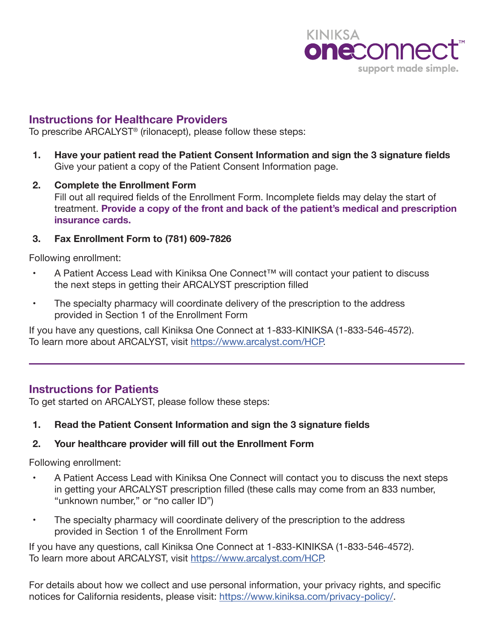

# **Instructions for Healthcare Providers**

To prescribe ARCALYST® (rilonacept), please follow these steps:

- **1. Have your patient read the Patient Consent Information and sign the 3 signature fields**  Give your patient a copy of the Patient Consent Information page.
- **2. Complete the Enrollment Form** Fill out all required fields of the Enrollment Form. Incomplete fields may delay the start of treatment. **Provide a copy of the front and back of the patient's medical and prescription insurance cards.**

### **3. Fax Enrollment Form to (781) 609-7826**

Following enrollment:

- A Patient Access Lead with Kiniksa One Connect™ will contact your patient to discuss the next steps in getting their ARCALYST prescription filled
- The specialty pharmacy will coordinate delivery of the prescription to the address provided in Section 1 of the Enrollment Form

If you have any questions, call Kiniksa One Connect at 1-833-KINIKSA (1-833-546-4572). To learn more about ARCALYST, visit [https://www.arcalyst.com/HCP.](https://www.arcalyst.com/hcp)

# **Instructions for Patients**

To get started on ARCALYST, please follow these steps:

# **1. Read the Patient Consent Information and sign the 3 signature fields**

# **2. Your healthcare provider will fill out the Enrollment Form**

Following enrollment:

- A Patient Access Lead with Kiniksa One Connect will contact you to discuss the next steps in getting your ARCALYST prescription filled (these calls may come from an 833 number, "unknown number," or "no caller ID")
- The specialty pharmacy will coordinate delivery of the prescription to the address provided in Section 1 of the Enrollment Form

If you have any questions, call Kiniksa One Connect at 1-833-KINIKSA (1-833-546-4572). To learn more about ARCALYST, visit [https://www.arcalyst.com/HCP.](https://www.arcalyst.com/)

For details about how we collect and use personal information, your privacy rights, and specific notices for California residents, please visit: https://www.kiniksa.com/privacy-policy/.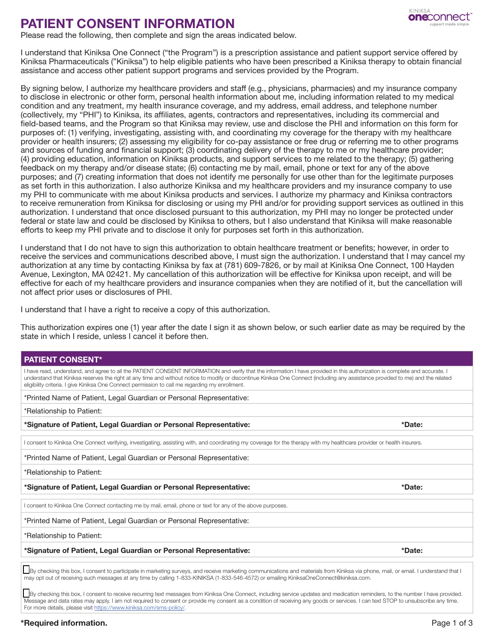#### **KINIKSA one**connect

# **PATIENT CONSENT INFORMATION**<br>Please read the following, then complete and sign the areas indicated below.

I understand that Kiniksa One Connect ("the Program") is a prescription assistance and patient support service offered by Kiniksa Pharmaceuticals ("Kiniksa") to help eligible patients who have been prescribed a Kiniksa therapy to obtain financial assistance and access other patient support programs and services provided by the Program.

By signing below, I authorize my healthcare providers and staff (e.g., physicians, pharmacies) and my insurance company to disclose in electronic or other form, personal health information about me, including information related to my medical condition and any treatment, my health insurance coverage, and my address, email address, and telephone number (collectively, my "PHI") to Kiniksa, its affiliates, agents, contractors and representatives, including its commercial and field-based teams, and the Program so that Kiniksa may review, use and disclose the PHI and information on this form for purposes of: (1) verifying, investigating, assisting with, and coordinating my coverage for the therapy with my healthcare provider or health insurers; (2) assessing my eligibility for co-pay assistance or free drug or referring me to other programs and sources of funding and financial support; (3) coordinating delivery of the therapy to me or my healthcare provider; (4) providing education, information on Kiniksa products, and support services to me related to the therapy; (5) gathering feedback on my therapy and/or disease state; (6) contacting me by mail, email, phone or text for any of the above purposes; and (7) creating information that does not identify me personally for use other than for the legitimate purposes as set forth in this authorization. I also authorize Kiniksa and my healthcare providers and my insurance company to use my PHI to communicate with me about Kiniksa products and services. I authorize my pharmacy and Kiniksa contractors to receive remuneration from Kiniksa for disclosing or using my PHI and/or for providing support services as outlined in this authorization. I understand that once disclosed pursuant to this authorization, my PHI may no longer be protected under federal or state law and could be disclosed by Kiniksa to others, but I also understand that Kiniksa will make reasonable efforts to keep my PHI private and to disclose it only for purposes set forth in this authorization.

I understand that I do not have to sign this authorization to obtain healthcare treatment or benefits; however, in order to receive the services and communications described above, I must sign the authorization. I understand that I may cancel my authorization at any time by contacting Kiniksa by fax at (781) 609-7826, or by mail at Kiniksa One Connect, 100 Hayden Avenue, Lexington, MA 02421. My cancellation of this authorization will be effective for Kiniksa upon receipt, and will be effective for each of my healthcare providers and insurance companies when they are notified of it, but the cancellation will not affect prior uses or disclosures of PHI.

I understand that I have a right to receive a copy of this authorization.

This authorization expires one (1) year after the date I sign it as shown below, or such earlier date as may be required by the state in which I reside, unless I cancel it before then.

### **PATIENT CONSENT\***

I have read, understand, and agree to all the PATIENT CONSENT INFORMATION and verify that the information I have provided in this authorization is complete and accurate. I understand that Kiniksa reserves the right at any time and without notice to modify or discontinue Kiniksa One Connect (including any assistance provided to me) and the related eligibility criteria. I give Kiniksa One Connect permission to call me regarding my enrollment.

\*Printed Name of Patient, Legal Guardian or Personal Representative:

\*Relationship to Patient:

**\*Signature of Patient, Legal Guardian or Personal Representative: \*Date:**

I consent to Kiniksa One Connect verifying, investigating, assisting with, and coordinating my coverage for the therapy with my healthcare provider or health insurers.

\*Printed Name of Patient, Legal Guardian or Personal Representative:

\*Relationship to Patient:

**\*Signature of Patient, Legal Guardian or Personal Representative: \*Date:**

I consent to Kiniksa One Connect contacting me by mail, email, phone or text for any of the above purposes.

\*Printed Name of Patient, Legal Guardian or Personal Representative:

\*Relationship to Patient:

**\*Signature of Patient, Legal Guardian or Personal Representative: \*Date:**

By checking this box, I consent to participate in marketing surveys, and receive marketing communications and materials from Kiniksa via phone, mail, or email. I understand that I may opt out of receiving such messages at any time by calling 1-833-KINIKSA (1-833-546-4572) or emailing KiniksaOneConnect@kiniksa.com.

By checking this box, I consent to receive recurring text messages from Kiniksa One Connect, including service updates and medication reminders, to the number I have provided. Message and data rates may apply. I am not required to consent or provide my consent as a condition of receiving any goods or services. I can text STOP to unsubscribe any time. For more details, please visit [https://www.kiniksa.com/sms-policy/.](https://www.kiniksa.com/sms-policy/)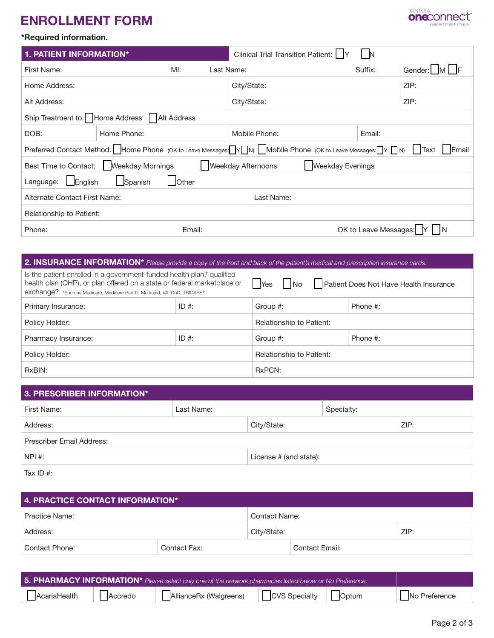# **ENROLLMENT FORM**



### **\*Required information.**

| <b>1. PATIENT INFORMATION*</b>                                                                                                 |                                                         |  | <b>Clinical Trial Transition Patient:</b> |  | ΙN                    |           |  |
|--------------------------------------------------------------------------------------------------------------------------------|---------------------------------------------------------|--|-------------------------------------------|--|-----------------------|-----------|--|
| First Name:                                                                                                                    | MI:                                                     |  | Last Name:                                |  | Suffix:               | Gender: M |  |
| Home Address:                                                                                                                  |                                                         |  | City/State:                               |  |                       | ZIP:      |  |
| Alt Address:                                                                                                                   |                                                         |  | City/State:                               |  |                       | ZIP:      |  |
|                                                                                                                                | Ship Treatment to:   Home Address<br><b>Alt Address</b> |  |                                           |  |                       |           |  |
| DOB:                                                                                                                           | Home Phone:                                             |  | Mobile Phone:                             |  | Email:                |           |  |
| Preferred Contact Method: Home Phone (OK to Leave Messages: V IN) Mobile Phone (OK to Leave Messages: V IN)<br>  Email<br>Text |                                                         |  |                                           |  |                       |           |  |
| <b>Weekday Afternoons</b><br><b>Weekday Mornings</b><br><b>Weekday Evenings</b><br>Best Time to Contact:                       |                                                         |  |                                           |  |                       |           |  |
| English<br><b>J</b> Other<br>Spanish<br>Language:                                                                              |                                                         |  |                                           |  |                       |           |  |
| Alternate Contact First Name:                                                                                                  |                                                         |  | Last Name:                                |  |                       |           |  |
| Relationship to Patient:                                                                                                       |                                                         |  |                                           |  |                       |           |  |
| Phone:                                                                                                                         | Email:                                                  |  |                                           |  | OK to Leave Messages: |           |  |

# **2. INSURANCE INFORMATION\*** *Please provide a copy of the front and back of the patient's medical and prescription insurance cards.* Is the patient enrolled in a government-funded health plan,† qualified health plan (QHP), or plan offered on a state or federal marketplace or exchange? tsuch as Medicare, Medicare Part D, Medicaid, VA, DoD, TRICARE®.  $\bigcap$ Yes  $\bigcap$ No  $\bigcap$  Patient Does Not Have Health Insurance Primary Insurance:  $\begin{array}{ccc} \text{ID } & \text{IF} \\ \end{array}$  ID #:  $\begin{array}{ccc} \text{Group } & \text{F} \\ \end{array}$  Phone #: Policy Holder: **Relationship to Patient:** Relationship to Patient: Pharmacy Insurance: ID #: ID #: Group #: Phone #: Policy Holder: **Relationship to Patient:** Relationship to Patient: RxBIN: RxPCN:

| 3. PRESCRIBER INFORMATION* |            |                        |            |  |  |  |
|----------------------------|------------|------------------------|------------|--|--|--|
| First Name:                | Last Name: |                        | Specialty: |  |  |  |
| Address:                   |            | City/State:            | ZIP:       |  |  |  |
| Prescriber Email Address:  |            |                        |            |  |  |  |
| NPI #:                     |            | License # (and state): |            |  |  |  |
| Tax ID $#$ :               |            |                        |            |  |  |  |

| 4. PRACTICE CONTACT INFORMATION* |              |               |                |  |  |
|----------------------------------|--------------|---------------|----------------|--|--|
| <b>Practice Name:</b>            |              | Contact Name: |                |  |  |
| Address:                         |              | City/State:   | ZIP:           |  |  |
| Contact Phone:                   | Contact Fax: |               | Contact Email: |  |  |

| 5. PHARMACY INFORMATION* Please select only one of the network pharmacies listed below or No Preference. |         |                        |                      |                     |               |
|----------------------------------------------------------------------------------------------------------|---------|------------------------|----------------------|---------------------|---------------|
| AcariaHealth                                                                                             | Accredo | AllianceRx (Walgreens) | $\Box$ CVS Specialty | $\vert \vert$ Optum | No Preference |